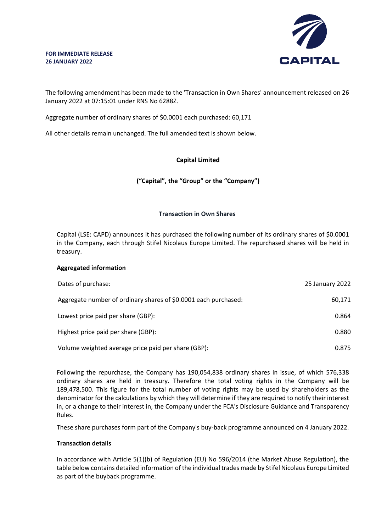#### **FOR IMMEDIATE RELEASE 26 JANUARY 2022**



The following amendment has been made to the 'Transaction in Own Shares' announcement released on 26 January 2022 at 07:15:01 under RNS No 6288Z.

Aggregate number of ordinary shares of \$0.0001 each purchased: 60,171

All other details remain unchanged. The full amended text is shown below.

### **Capital Limited**

## **("Capital", the "Group" or the "Company")**

## **Transaction in Own Shares**

Capital (LSE: CAPD) announces it has purchased the following number of its ordinary shares of \$0.0001 in the Company, each through Stifel Nicolaus Europe Limited. The repurchased shares will be held in treasury.

### **Aggregated information**

| Dates of purchase:                                              | 25 January 2022 |
|-----------------------------------------------------------------|-----------------|
| Aggregate number of ordinary shares of \$0.0001 each purchased: | 60,171          |
| Lowest price paid per share (GBP):                              | 0.864           |
| Highest price paid per share (GBP):                             | 0.880           |
| Volume weighted average price paid per share (GBP):             | 0.875           |

Following the repurchase, the Company has 190,054,838 ordinary shares in issue, of which 576,338 ordinary shares are held in treasury. Therefore the total voting rights in the Company will be 189,478,500. This figure for the total number of voting rights may be used by shareholders as the denominator for the calculations by which they will determine if they are required to notify their interest in, or a change to their interest in, the Company under the FCA's Disclosure Guidance and Transparency Rules.

These share purchases form part of the Company's buy-back programme announced on 4 January 2022.

### **Transaction details**

In accordance with Article 5(1)(b) of Regulation (EU) No 596/2014 (the Market Abuse Regulation), the table below contains detailed information of the individual trades made by Stifel Nicolaus Europe Limited as part of the buyback programme.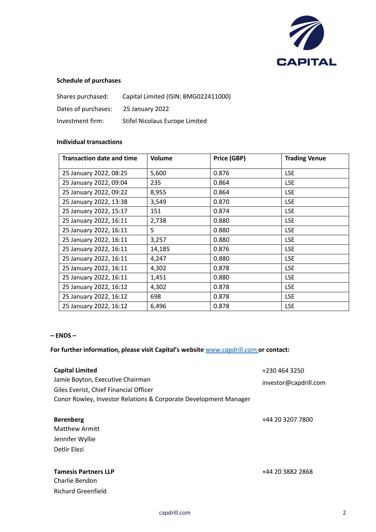

# **Schedule of purchases**

| Shares purchased:   | Capital Limited (ISIN: BMG022411000) |
|---------------------|--------------------------------------|
| Dates of purchases: | 25 January 2022                      |
| Investment firm:    | Stifel Nicolaus Europe Limited       |

### **Individual transactions**

| <b>Transaction date and time</b> | Volume | Price (GBP) | <b>Trading Venue</b> |
|----------------------------------|--------|-------------|----------------------|
| 25 January 2022, 08:25           | 5,600  | 0.876       | <b>LSE</b>           |
| 25 January 2022, 09:04           | 235    | 0.864       | <b>LSE</b>           |
| 25 January 2022, 09:22           | 8,955  | 0.864       | <b>LSE</b>           |
| 25 January 2022, 13:38           | 3,549  | 0.870       | <b>LSE</b>           |
| 25 January 2022, 15:17           | 151    | 0.874       | <b>LSE</b>           |
| 25 January 2022, 16:11           | 2,738  | 0.880       | <b>LSE</b>           |
| 25 January 2022, 16:11           | 5      | 0.880       | <b>LSE</b>           |
| 25 January 2022, 16:11           | 3,257  | 0.880       | <b>LSE</b>           |
| 25 January 2022, 16:11           | 14,185 | 0.876       | <b>LSE</b>           |
| 25 January 2022, 16:11           | 4,247  | 0.880       | <b>LSE</b>           |
| 25 January 2022, 16:11           | 4,302  | 0.878       | <b>LSE</b>           |
| 25 January 2022, 16:11           | 1,451  | 0.880       | <b>LSE</b>           |
| 25 January 2022, 16:12           | 4,302  | 0.878       | <b>LSE</b>           |
| 25 January 2022, 16:12           | 698    | 0.878       | <b>LSE</b>           |
| 25 January 2022, 16:12           | 6,496  | 0.878       | <b>LSE</b>           |

### **– ENDS –**

## **For further information, please visit Capital's website** www.capdrill.com **or contact:**

| <b>Capital Limited</b><br>Jamie Boyton, Executive Chairman                                                 | +230 464 3250         |
|------------------------------------------------------------------------------------------------------------|-----------------------|
| Giles Everist, Chief Financial Officer<br>Conor Rowley, Investor Relations & Corporate Development Manager | investor@capdrill.com |
| <b>Berenberg</b><br><b>Matthew Armitt</b><br>Jennifer Wyllie<br>Detlir Elezi                               | +44 20 3207 7800      |
| <b>Tamesis Partners LLP</b><br>Charlie Bendon<br><b>Richard Greenfield</b>                                 | +44 20 3882 2868      |